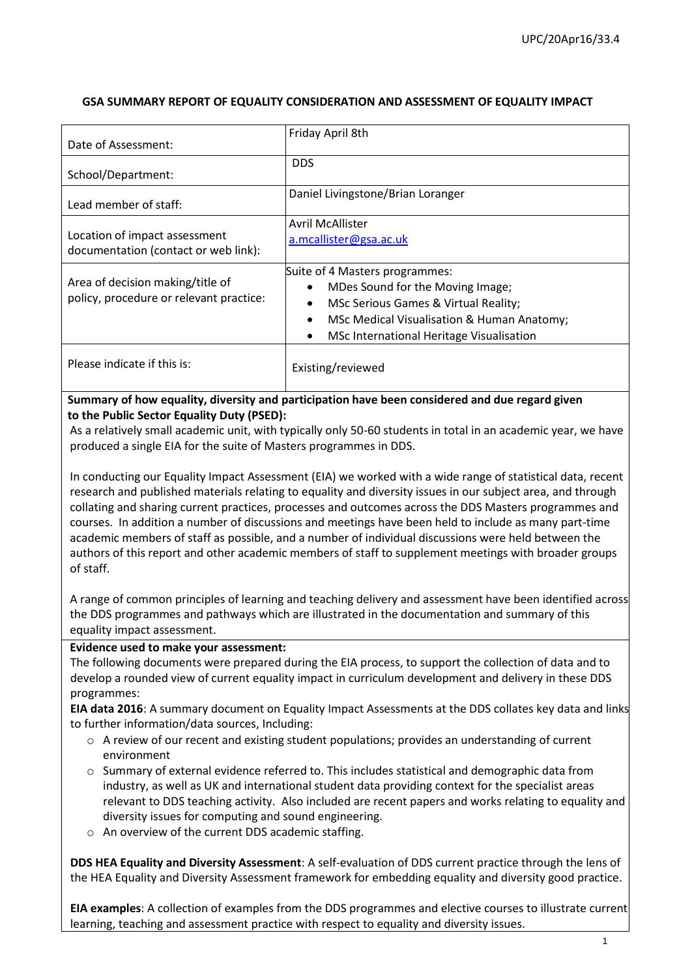## **GSA SUMMARY REPORT OF EQUALITY CONSIDERATION AND ASSESSMENT OF EQUALITY IMPACT**

| Date of Assessment:                                                         | Friday April 8th                                                                                                                                                                                                               |
|-----------------------------------------------------------------------------|--------------------------------------------------------------------------------------------------------------------------------------------------------------------------------------------------------------------------------|
| School/Department:                                                          | <b>DDS</b>                                                                                                                                                                                                                     |
| Lead member of staff:                                                       | Daniel Livingstone/Brian Loranger                                                                                                                                                                                              |
| Location of impact assessment<br>documentation (contact or web link):       | <b>Avril McAllister</b><br>a.mcallister@gsa.ac.uk                                                                                                                                                                              |
| Area of decision making/title of<br>policy, procedure or relevant practice: | Suite of 4 Masters programmes:<br>MDes Sound for the Moving Image;<br>MSc Serious Games & Virtual Reality;<br>$\bullet$<br>MSc Medical Visualisation & Human Anatomy;<br>MSc International Heritage Visualisation<br>$\bullet$ |
| Please indicate if this is:                                                 | Existing/reviewed                                                                                                                                                                                                              |

#### **Summary of how equality, diversity and participation have been considered and due regard given to the Public Sector Equality Duty (PSED):**

As a relatively small academic unit, with typically only 50-60 students in total in an academic year, we have produced a single EIA for the suite of Masters programmes in DDS.

In conducting our Equality Impact Assessment (EIA) we worked with a wide range of statistical data, recent research and published materials relating to equality and diversity issues in our subject area, and through collating and sharing current practices, processes and outcomes across the DDS Masters programmes and courses. In addition a number of discussions and meetings have been held to include as many part-time academic members of staff as possible, and a number of individual discussions were held between the authors of this report and other academic members of staff to supplement meetings with broader groups of staff.

A range of common principles of learning and teaching delivery and assessment have been identified across the DDS programmes and pathways which are illustrated in the documentation and summary of this equality impact assessment.

#### **Evidence used to make your assessment:**

The following documents were prepared during the EIA process, to support the collection of data and to develop a rounded view of current equality impact in curriculum development and delivery in these DDS programmes:

**EIA data 2016**: A summary document on Equality Impact Assessments at the DDS collates key data and links to further information/data sources, Including:

- $\circ$  A review of our recent and existing student populations; provides an understanding of current environment
- $\circ$  Summary of external evidence referred to. This includes statistical and demographic data from industry, as well as UK and international student data providing context for the specialist areas relevant to DDS teaching activity. Also included are recent papers and works relating to equality and diversity issues for computing and sound engineering.
- o An overview of the current DDS academic staffing.

**DDS HEA Equality and Diversity Assessment**: A self-evaluation of DDS current practice through the lens of the HEA Equality and Diversity Assessment framework for embedding equality and diversity good practice.

**EIA examples**: A collection of examples from the DDS programmes and elective courses to illustrate current learning, teaching and assessment practice with respect to equality and diversity issues.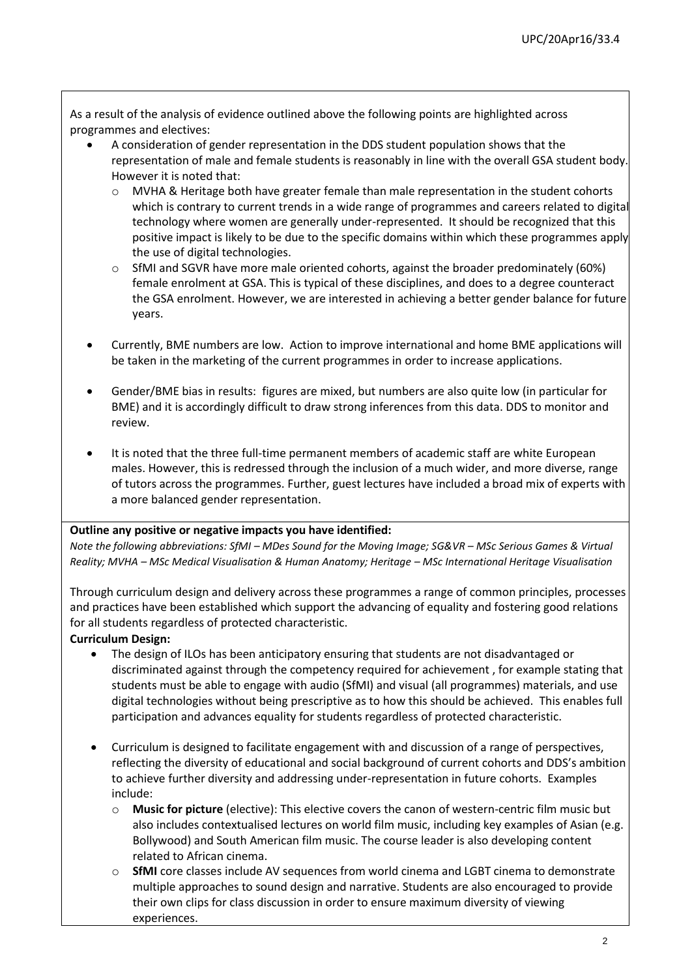As a result of the analysis of evidence outlined above the following points are highlighted across programmes and electives:

- A consideration of gender representation in the DDS student population shows that the representation of male and female students is reasonably in line with the overall GSA student body. However it is noted that:
	- o MVHA & Heritage both have greater female than male representation in the student cohorts which is contrary to current trends in a wide range of programmes and careers related to digital technology where women are generally under-represented. It should be recognized that this positive impact is likely to be due to the specific domains within which these programmes apply the use of digital technologies.
	- o SfMI and SGVR have more male oriented cohorts, against the broader predominately (60%) female enrolment at GSA. This is typical of these disciplines, and does to a degree counteract the GSA enrolment. However, we are interested in achieving a better gender balance for future years.
- Currently, BME numbers are low. Action to improve international and home BME applications will be taken in the marketing of the current programmes in order to increase applications.
- Gender/BME bias in results: figures are mixed, but numbers are also quite low (in particular for BME) and it is accordingly difficult to draw strong inferences from this data. DDS to monitor and review.
- It is noted that the three full-time permanent members of academic staff are white European males. However, this is redressed through the inclusion of a much wider, and more diverse, range of tutors across the programmes. Further, guest lectures have included a broad mix of experts with a more balanced gender representation.

#### **Outline any positive or negative impacts you have identified:**

*Note the following abbreviations: SfMI – MDes Sound for the Moving Image; SG&VR – MSc Serious Games & Virtual Reality; MVHA – MSc Medical Visualisation & Human Anatomy; Heritage – MSc International Heritage Visualisation*

Through curriculum design and delivery across these programmes a range of common principles, processes and practices have been established which support the advancing of equality and fostering good relations for all students regardless of protected characteristic.

#### **Curriculum Design:**

- The design of ILOs has been anticipatory ensuring that students are not disadvantaged or discriminated against through the competency required for achievement , for example stating that students must be able to engage with audio (SfMI) and visual (all programmes) materials, and use digital technologies without being prescriptive as to how this should be achieved. This enables full participation and advances equality for students regardless of protected characteristic.
- Curriculum is designed to facilitate engagement with and discussion of a range of perspectives, reflecting the diversity of educational and social background of current cohorts and DDS's ambition to achieve further diversity and addressing under-representation in future cohorts. Examples include:
	- o **Music for picture** (elective): This elective covers the canon of western-centric film music but also includes contextualised lectures on world film music, including key examples of Asian (e.g. Bollywood) and South American film music. The course leader is also developing content related to African cinema.
	- **SfMI** core classes include AV sequences from world cinema and LGBT cinema to demonstrate multiple approaches to sound design and narrative. Students are also encouraged to provide their own clips for class discussion in order to ensure maximum diversity of viewing experiences.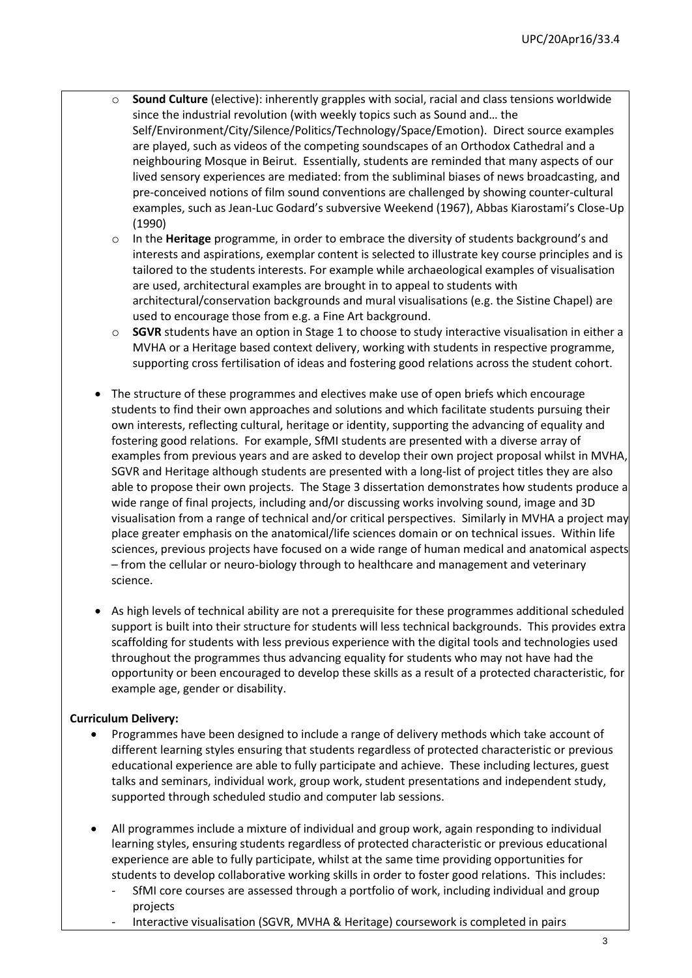- Sound Culture (elective): inherently grapples with social, racial and class tensions worldwide since the industrial revolution (with weekly topics such as Sound and… the Self/Environment/City/Silence/Politics/Technology/Space/Emotion). Direct source examples are played, such as videos of the competing soundscapes of an Orthodox Cathedral and a neighbouring Mosque in Beirut. Essentially, students are reminded that many aspects of our lived sensory experiences are mediated: from the subliminal biases of news broadcasting, and pre-conceived notions of film sound conventions are challenged by showing counter-cultural examples, such as Jean-Luc Godard's subversive Weekend (1967), Abbas Kiarostami's Close-Up (1990)
- o In the **Heritage** programme, in order to embrace the diversity of students background's and interests and aspirations, exemplar content is selected to illustrate key course principles and is tailored to the students interests. For example while archaeological examples of visualisation are used, architectural examples are brought in to appeal to students with architectural/conservation backgrounds and mural visualisations (e.g. the Sistine Chapel) are used to encourage those from e.g. a Fine Art background.
- o **SGVR** students have an option in Stage 1 to choose to study interactive visualisation in either a MVHA or a Heritage based context delivery, working with students in respective programme, supporting cross fertilisation of ideas and fostering good relations across the student cohort.
- The structure of these programmes and electives make use of open briefs which encourage students to find their own approaches and solutions and which facilitate students pursuing their own interests, reflecting cultural, heritage or identity, supporting the advancing of equality and fostering good relations. For example, SfMI students are presented with a diverse array of examples from previous years and are asked to develop their own project proposal whilst in MVHA, SGVR and Heritage although students are presented with a long-list of project titles they are also able to propose their own projects. The Stage 3 dissertation demonstrates how students produce a wide range of final projects, including and/or discussing works involving sound, image and 3D visualisation from a range of technical and/or critical perspectives. Similarly in MVHA a project may place greater emphasis on the anatomical/life sciences domain or on technical issues. Within life sciences, previous projects have focused on a wide range of human medical and anatomical aspects – from the cellular or neuro-biology through to healthcare and management and veterinary science.
- As high levels of technical ability are not a prerequisite for these programmes additional scheduled support is built into their structure for students will less technical backgrounds. This provides extra scaffolding for students with less previous experience with the digital tools and technologies used throughout the programmes thus advancing equality for students who may not have had the opportunity or been encouraged to develop these skills as a result of a protected characteristic, for example age, gender or disability.

#### **Curriculum Delivery:**

- Programmes have been designed to include a range of delivery methods which take account of different learning styles ensuring that students regardless of protected characteristic or previous educational experience are able to fully participate and achieve. These including lectures, guest talks and seminars, individual work, group work, student presentations and independent study, supported through scheduled studio and computer lab sessions.
- All programmes include a mixture of individual and group work, again responding to individual learning styles, ensuring students regardless of protected characteristic or previous educational experience are able to fully participate, whilst at the same time providing opportunities for students to develop collaborative working skills in order to foster good relations. This includes:
	- SfMI core courses are assessed through a portfolio of work, including individual and group projects
	- Interactive visualisation (SGVR, MVHA & Heritage) coursework is completed in pairs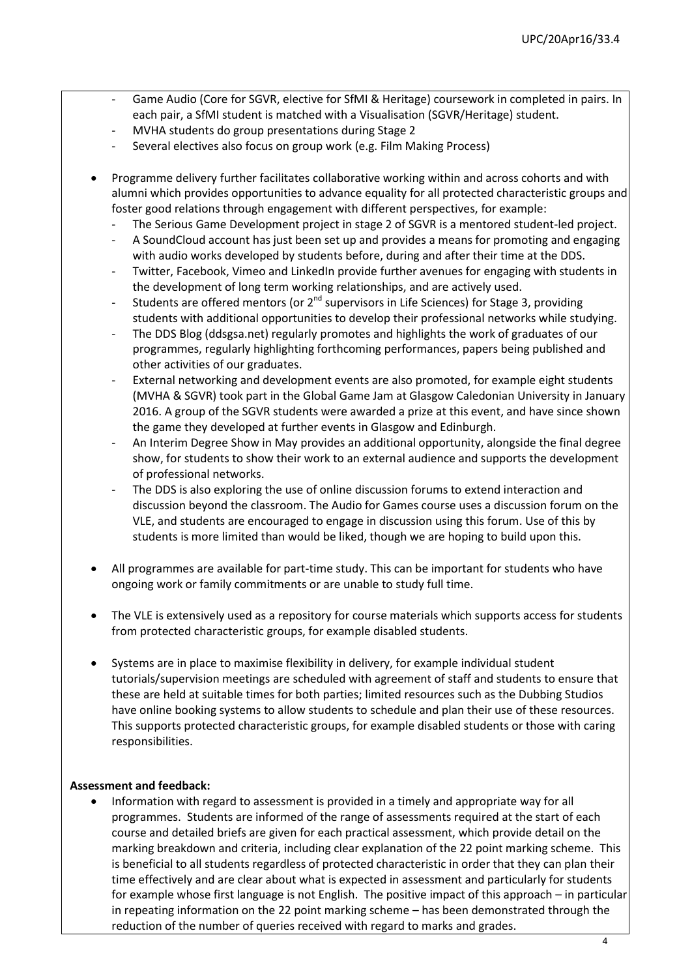- Game Audio (Core for SGVR, elective for SfMI & Heritage) coursework in completed in pairs. In each pair, a SfMI student is matched with a Visualisation (SGVR/Heritage) student.
- MVHA students do group presentations during Stage 2
- Several electives also focus on group work (e.g. Film Making Process)
- Programme delivery further facilitates collaborative working within and across cohorts and with alumni which provides opportunities to advance equality for all protected characteristic groups and foster good relations through engagement with different perspectives, for example:
	- The Serious Game Development project in stage 2 of SGVR is a mentored student-led project.
	- A SoundCloud account has just been set up and provides a means for promoting and engaging with audio works developed by students before, during and after their time at the DDS.
	- Twitter, Facebook, Vimeo and LinkedIn provide further avenues for engaging with students in the development of long term working relationships, and are actively used.
	- Students are offered mentors (or  $2^{nd}$  supervisors in Life Sciences) for Stage 3, providing students with additional opportunities to develop their professional networks while studying.
	- The DDS Blog (ddsgsa.net) regularly promotes and highlights the work of graduates of our programmes, regularly highlighting forthcoming performances, papers being published and other activities of our graduates.
	- External networking and development events are also promoted, for example eight students (MVHA & SGVR) took part in the Global Game Jam at Glasgow Caledonian University in January 2016. A group of the SGVR students were awarded a prize at this event, and have since shown the game they developed at further events in Glasgow and Edinburgh.
	- An Interim Degree Show in May provides an additional opportunity, alongside the final degree show, for students to show their work to an external audience and supports the development of professional networks.
	- The DDS is also exploring the use of online discussion forums to extend interaction and discussion beyond the classroom. The Audio for Games course uses a discussion forum on the VLE, and students are encouraged to engage in discussion using this forum. Use of this by students is more limited than would be liked, though we are hoping to build upon this.
- All programmes are available for part-time study. This can be important for students who have ongoing work or family commitments or are unable to study full time.
- The VLE is extensively used as a repository for course materials which supports access for students from protected characteristic groups, for example disabled students.
- Systems are in place to maximise flexibility in delivery, for example individual student tutorials/supervision meetings are scheduled with agreement of staff and students to ensure that these are held at suitable times for both parties; limited resources such as the Dubbing Studios have online booking systems to allow students to schedule and plan their use of these resources. This supports protected characteristic groups, for example disabled students or those with caring responsibilities.

#### **Assessment and feedback:**

 Information with regard to assessment is provided in a timely and appropriate way for all programmes. Students are informed of the range of assessments required at the start of each course and detailed briefs are given for each practical assessment, which provide detail on the marking breakdown and criteria, including clear explanation of the 22 point marking scheme. This is beneficial to all students regardless of protected characteristic in order that they can plan their time effectively and are clear about what is expected in assessment and particularly for students for example whose first language is not English. The positive impact of this approach – in particular in repeating information on the 22 point marking scheme – has been demonstrated through the reduction of the number of queries received with regard to marks and grades.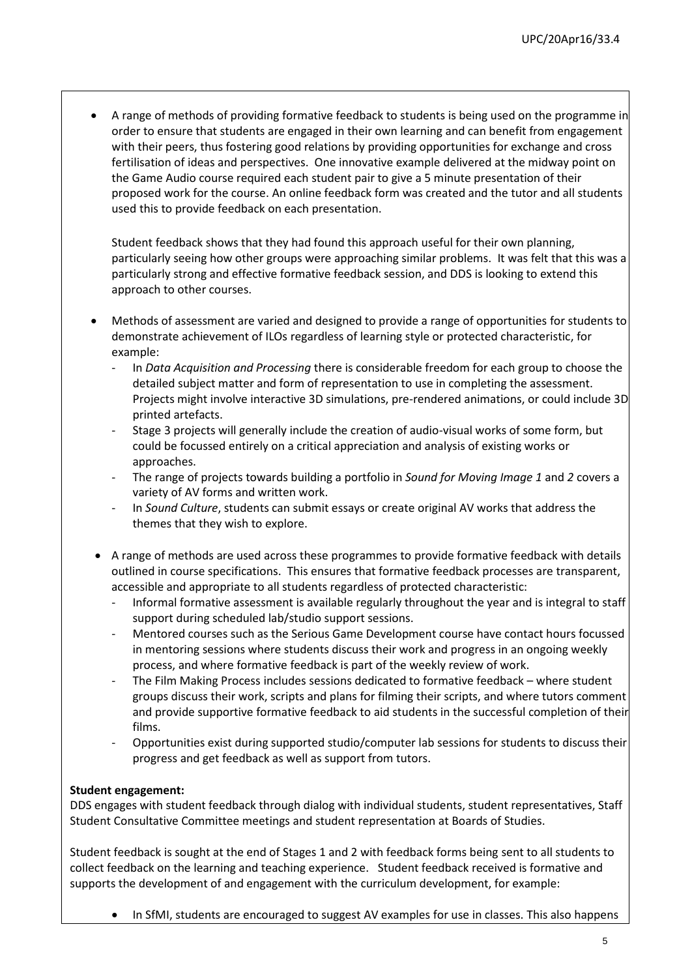A range of methods of providing formative feedback to students is being used on the programme in order to ensure that students are engaged in their own learning and can benefit from engagement with their peers, thus fostering good relations by providing opportunities for exchange and cross fertilisation of ideas and perspectives. One innovative example delivered at the midway point on the Game Audio course required each student pair to give a 5 minute presentation of their proposed work for the course. An online feedback form was created and the tutor and all students used this to provide feedback on each presentation.

Student feedback shows that they had found this approach useful for their own planning, particularly seeing how other groups were approaching similar problems. It was felt that this was a particularly strong and effective formative feedback session, and DDS is looking to extend this approach to other courses.

- Methods of assessment are varied and designed to provide a range of opportunities for students to demonstrate achievement of ILOs regardless of learning style or protected characteristic, for example:
	- In *Data Acquisition and Processing* there is considerable freedom for each group to choose the detailed subject matter and form of representation to use in completing the assessment. Projects might involve interactive 3D simulations, pre-rendered animations, or could include 3D printed artefacts.
	- Stage 3 projects will generally include the creation of audio-visual works of some form, but could be focussed entirely on a critical appreciation and analysis of existing works or approaches.
	- The range of projects towards building a portfolio in *Sound for Moving Image 1* and *2* covers a variety of AV forms and written work.
	- In *Sound Culture*, students can submit essays or create original AV works that address the themes that they wish to explore.
- A range of methods are used across these programmes to provide formative feedback with details outlined in course specifications. This ensures that formative feedback processes are transparent, accessible and appropriate to all students regardless of protected characteristic:
	- Informal formative assessment is available regularly throughout the year and is integral to staff support during scheduled lab/studio support sessions.
	- Mentored courses such as the Serious Game Development course have contact hours focussed in mentoring sessions where students discuss their work and progress in an ongoing weekly process, and where formative feedback is part of the weekly review of work.
	- The Film Making Process includes sessions dedicated to formative feedback where student groups discuss their work, scripts and plans for filming their scripts, and where tutors comment and provide supportive formative feedback to aid students in the successful completion of their films.
	- Opportunities exist during supported studio/computer lab sessions for students to discuss their progress and get feedback as well as support from tutors.

## **Student engagement:**

DDS engages with student feedback through dialog with individual students, student representatives, Staff Student Consultative Committee meetings and student representation at Boards of Studies.

Student feedback is sought at the end of Stages 1 and 2 with feedback forms being sent to all students to collect feedback on the learning and teaching experience. Student feedback received is formative and supports the development of and engagement with the curriculum development, for example:

• In SfMI, students are encouraged to suggest AV examples for use in classes. This also happens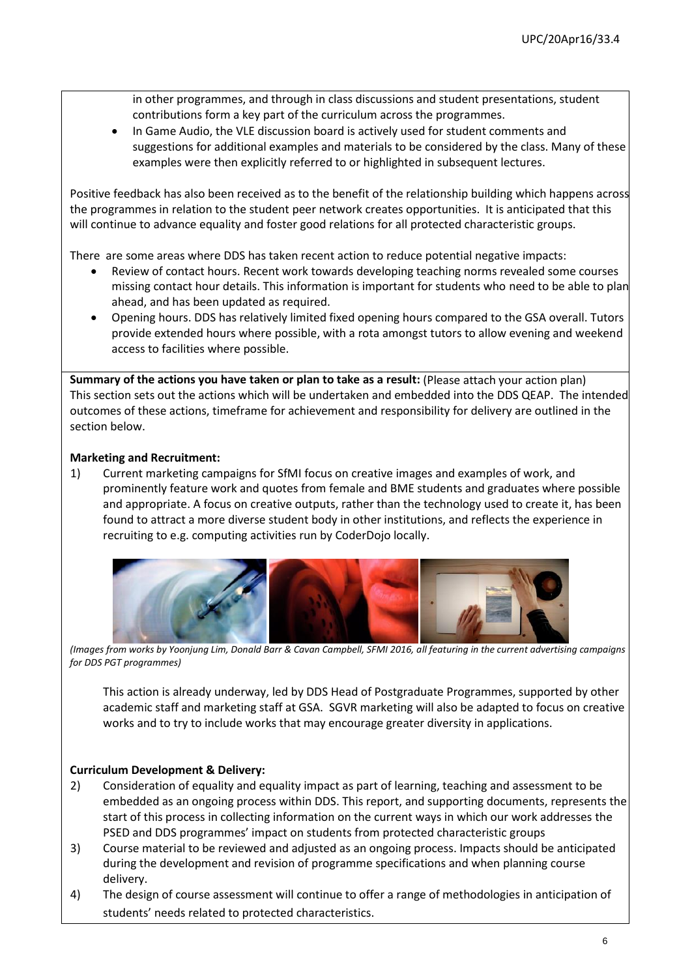in other programmes, and through in class discussions and student presentations, student contributions form a key part of the curriculum across the programmes.

 In Game Audio, the VLE discussion board is actively used for student comments and suggestions for additional examples and materials to be considered by the class. Many of these examples were then explicitly referred to or highlighted in subsequent lectures.

Positive feedback has also been received as to the benefit of the relationship building which happens across the programmes in relation to the student peer network creates opportunities. It is anticipated that this will continue to advance equality and foster good relations for all protected characteristic groups.

There are some areas where DDS has taken recent action to reduce potential negative impacts:

- Review of contact hours. Recent work towards developing teaching norms revealed some courses missing contact hour details. This information is important for students who need to be able to plan ahead, and has been updated as required.
- Opening hours. DDS has relatively limited fixed opening hours compared to the GSA overall. Tutors provide extended hours where possible, with a rota amongst tutors to allow evening and weekend access to facilities where possible.

**Summary of the actions you have taken or plan to take as a result:** (Please attach your action plan) This section sets out the actions which will be undertaken and embedded into the DDS QEAP. The intended outcomes of these actions, timeframe for achievement and responsibility for delivery are outlined in the section below.

#### **Marketing and Recruitment:**

1) Current marketing campaigns for SfMI focus on creative images and examples of work, and prominently feature work and quotes from female and BME students and graduates where possible and appropriate. A focus on creative outputs, rather than the technology used to create it, has been found to attract a more diverse student body in other institutions, and reflects the experience in recruiting to e.g. computing activities run by CoderDojo locally.



*(Images from works by Yoonjung Lim, Donald Barr & Cavan Campbell, SFMI 2016, all featuring in the current advertising campaigns for DDS PGT programmes)*

This action is already underway, led by DDS Head of Postgraduate Programmes, supported by other academic staff and marketing staff at GSA. SGVR marketing will also be adapted to focus on creative works and to try to include works that may encourage greater diversity in applications.

#### **Curriculum Development & Delivery:**

- 2) Consideration of equality and equality impact as part of learning, teaching and assessment to be embedded as an ongoing process within DDS. This report, and supporting documents, represents the start of this process in collecting information on the current ways in which our work addresses the PSED and DDS programmes' impact on students from protected characteristic groups
- 3) Course material to be reviewed and adjusted as an ongoing process. Impacts should be anticipated during the development and revision of programme specifications and when planning course delivery.
- 4) The design of course assessment will continue to offer a range of methodologies in anticipation of students' needs related to protected characteristics.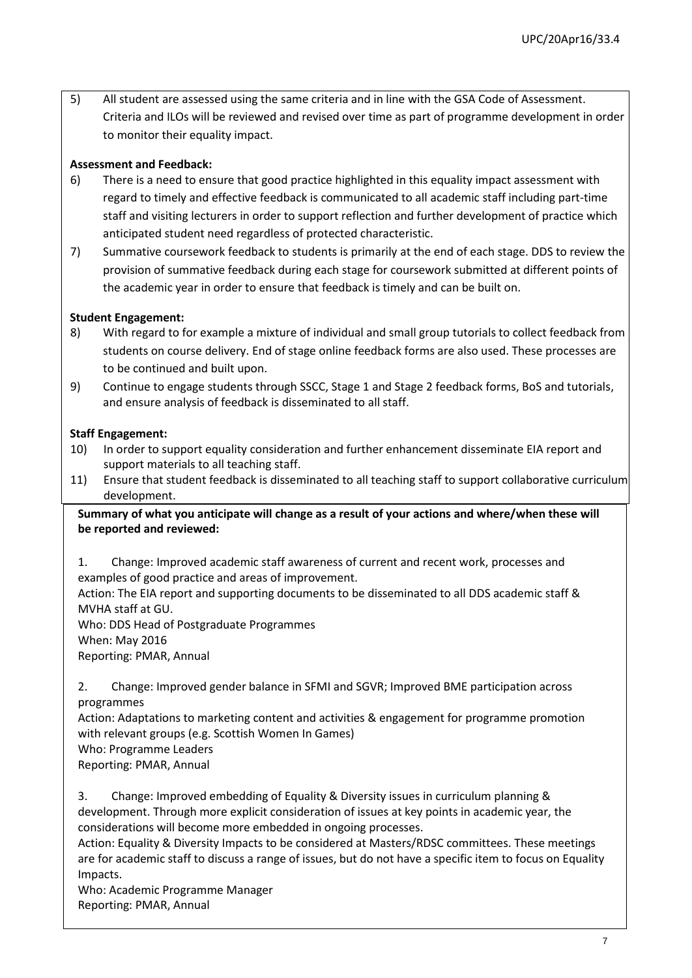5) All student are assessed using the same criteria and in line with the GSA Code of Assessment. Criteria and ILOs will be reviewed and revised over time as part of programme development in order to monitor their equality impact.

#### **Assessment and Feedback:**

- 6) There is a need to ensure that good practice highlighted in this equality impact assessment with regard to timely and effective feedback is communicated to all academic staff including part-time staff and visiting lecturers in order to support reflection and further development of practice which anticipated student need regardless of protected characteristic.
- 7) Summative coursework feedback to students is primarily at the end of each stage. DDS to review the provision of summative feedback during each stage for coursework submitted at different points of the academic year in order to ensure that feedback is timely and can be built on.

#### **Student Engagement:**

- 8) With regard to for example a mixture of individual and small group tutorials to collect feedback from students on course delivery. End of stage online feedback forms are also used. These processes are to be continued and built upon.
- 9) Continue to engage students through SSCC, Stage 1 and Stage 2 feedback forms, BoS and tutorials, and ensure analysis of feedback is disseminated to all staff.

#### **Staff Engagement:**

- 10) In order to support equality consideration and further enhancement disseminate EIA report and support materials to all teaching staff.
- 11) Ensure that student feedback is disseminated to all teaching staff to support collaborative curriculum development.

## **Summary of what you anticipate will change as a result of your actions and where/when these will be reported and reviewed:**

1. Change: Improved academic staff awareness of current and recent work, processes and examples of good practice and areas of improvement.

Action: The EIA report and supporting documents to be disseminated to all DDS academic staff & MVHA staff at GU.

Who: DDS Head of Postgraduate Programmes When: May 2016 Reporting: PMAR, Annual

2. Change: Improved gender balance in SFMI and SGVR; Improved BME participation across programmes

Action: Adaptations to marketing content and activities & engagement for programme promotion with relevant groups (e.g. Scottish Women In Games)

Who: Programme Leaders

Reporting: PMAR, Annual

3. Change: Improved embedding of Equality & Diversity issues in curriculum planning & development. Through more explicit consideration of issues at key points in academic year, the considerations will become more embedded in ongoing processes.

Action: Equality & Diversity Impacts to be considered at Masters/RDSC committees. These meetings are for academic staff to discuss a range of issues, but do not have a specific item to focus on Equality Impacts.

Who: Academic Programme Manager Reporting: PMAR, Annual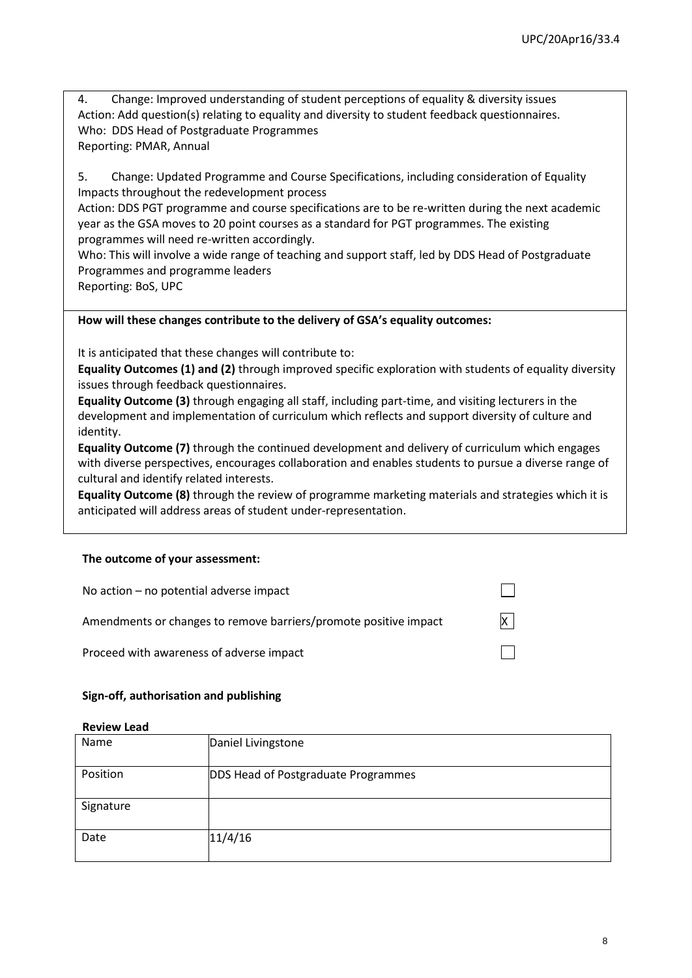4. Change: Improved understanding of student perceptions of equality & diversity issues Action: Add question(s) relating to equality and diversity to student feedback questionnaires. Who: DDS Head of Postgraduate Programmes Reporting: PMAR, Annual

5. Change: Updated Programme and Course Specifications, including consideration of Equality Impacts throughout the redevelopment process

Action: DDS PGT programme and course specifications are to be re-written during the next academic year as the GSA moves to 20 point courses as a standard for PGT programmes. The existing programmes will need re-written accordingly.

Who: This will involve a wide range of teaching and support staff, led by DDS Head of Postgraduate Programmes and programme leaders

Reporting: BoS, UPC

#### **How will these changes contribute to the delivery of GSA's equality outcomes:**

It is anticipated that these changes will contribute to:

**Equality Outcomes (1) and (2)** through improved specific exploration with students of equality diversity issues through feedback questionnaires.

**Equality Outcome (3)** through engaging all staff, including part-time, and visiting lecturers in the development and implementation of curriculum which reflects and support diversity of culture and identity.

**Equality Outcome (7)** through the continued development and delivery of curriculum which engages with diverse perspectives, encourages collaboration and enables students to pursue a diverse range of cultural and identify related interests.

**Equality Outcome (8)** through the review of programme marketing materials and strategies which it is anticipated will address areas of student under-representation.

#### **The outcome of your assessment:**

| No action $-$ no potential adverse impact                        |          |
|------------------------------------------------------------------|----------|
| Amendments or changes to remove barriers/promote positive impact | $\times$ |
| Proceed with awareness of adverse impact                         |          |

#### **Sign-off, authorisation and publishing**

#### **Review Lead**

| Name      | Daniel Livingstone                  |
|-----------|-------------------------------------|
| Position  | DDS Head of Postgraduate Programmes |
| Signature |                                     |
| Date      | 11/4/16                             |